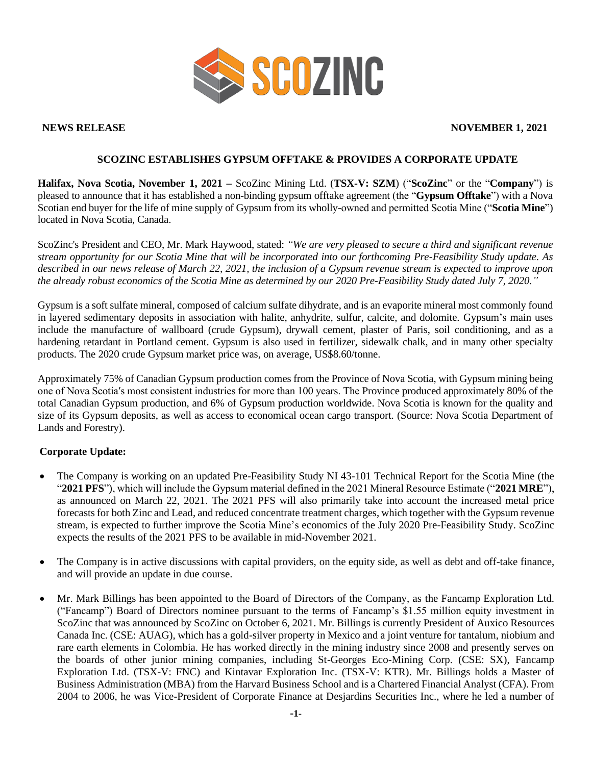

#### **NEWS RELEASE NOVEMBER 1, 2021**

## **SCOZINC ESTABLISHES GYPSUM OFFTAKE & PROVIDES A CORPORATE UPDATE**

**Halifax, Nova Scotia, November 1, 2021 –** ScoZinc Mining Ltd. (**TSX-V: SZM**) ("**ScoZinc**" or the "**Company**") is pleased to announce that it has established a non-binding gypsum offtake agreement (the "**Gypsum Offtake**") with a Nova Scotian end buyer for the life of mine supply of Gypsum from its wholly-owned and permitted Scotia Mine ("**Scotia Mine**") located in Nova Scotia, Canada.

ScoZinc's President and CEO, Mr. Mark Haywood, stated: *"We are very pleased to secure a third and significant revenue stream opportunity for our Scotia Mine that will be incorporated into our forthcoming Pre-Feasibility Study update. As described in our news release of March 22, 2021, the inclusion of a Gypsum revenue stream is expected to improve upon the already robust economics of the Scotia Mine as determined by our 2020 Pre-Feasibility Study dated July 7, 2020."*

Gypsum is a soft sulfate mineral, composed of calcium sulfate dihydrate, and is an evaporite mineral most commonly found in layered sedimentary deposits in association with halite, anhydrite, sulfur, calcite, and dolomite. Gypsum's main uses include the manufacture of wallboard (crude Gypsum), drywall cement, plaster of Paris, soil conditioning, and as a hardening retardant in Portland cement. Gypsum is also used in fertilizer, sidewalk chalk, and in many other specialty products. The 2020 crude Gypsum market price was, on average, US\$8.60/tonne.

Approximately 75% of Canadian Gypsum production comes from the Province of Nova Scotia, with Gypsum mining being one of Nova Scotia′s most consistent industries for more than 100 years. The Province produced approximately 80% of the total Canadian Gypsum production, and 6% of Gypsum production worldwide. Nova Scotia is known for the quality and size of its Gypsum deposits, as well as access to economical ocean cargo transport. (Source: Nova Scotia Department of Lands and Forestry).

### **Corporate Update:**

- The Company is working on an updated Pre-Feasibility Study NI 43-101 Technical Report for the Scotia Mine (the "**2021 PFS**"), which will include the Gypsum material defined in the 2021 Mineral Resource Estimate ("**2021 MRE**"), as announced on March 22, 2021. The 2021 PFS will also primarily take into account the increased metal price forecasts for both Zinc and Lead, and reduced concentrate treatment charges, which together with the Gypsum revenue stream, is expected to further improve the Scotia Mine's economics of the July 2020 Pre-Feasibility Study. ScoZinc expects the results of the 2021 PFS to be available in mid-November 2021.
- The Company is in active discussions with capital providers, on the equity side, as well as debt and off-take finance, and will provide an update in due course.
- Mr. Mark Billings has been appointed to the Board of Directors of the Company, as the Fancamp Exploration Ltd. ("Fancamp") Board of Directors nominee pursuant to the terms of Fancamp's \$1.55 million equity investment in ScoZinc that was announced by ScoZinc on October 6, 2021. Mr. Billings is currently President of Auxico Resources Canada Inc. (CSE: AUAG), which has a gold-silver property in Mexico and a joint venture for tantalum, niobium and rare earth elements in Colombia. He has worked directly in the mining industry since 2008 and presently serves on the boards of other junior mining companies, including St-Georges Eco-Mining Corp. (CSE: SX), Fancamp Exploration Ltd. (TSX-V: FNC) and Kintavar Exploration Inc. (TSX-V: KTR). Mr. Billings holds a Master of Business Administration (MBA) from the Harvard Business School and is a Chartered Financial Analyst (CFA). From 2004 to 2006, he was Vice-President of Corporate Finance at Desjardins Securities Inc., where he led a number of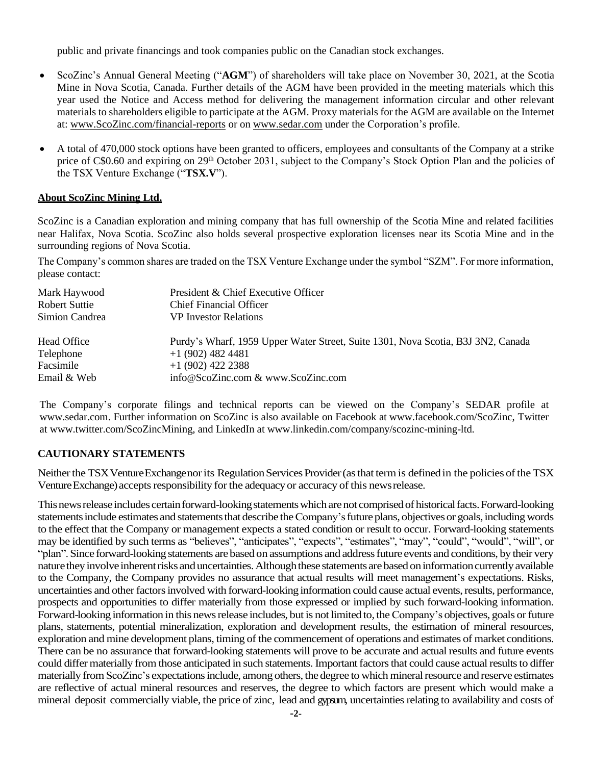public and private financings and took companies public on the Canadian stock exchanges.

- ScoZinc's Annual General Meeting ("**AGM**") of shareholders will take place on November 30, 2021, at the Scotia Mine in Nova Scotia, Canada. Further details of the AGM have been provided in the meeting materials which this year used the Notice and Access method for delivering the management information circular and other relevant materials to shareholders eligible to participate at the AGM. Proxy materials for the AGM are available on the Internet at: [www.ScoZinc.com/financial-reports](http://www.scozinc.com/financial-reports) or on [www.sedar.com](http://www.sedar.com/) under the Corporation's profile.
- A total of 470,000 stock options have been granted to officers, employees and consultants of the Company at a strike price of C\$0.60 and expiring on 29<sup>th</sup> October 2031, subject to the Company's Stock Option Plan and the policies of the TSX Venture Exchange ("**TSX.V**").

### **About ScoZinc Mining Ltd.**

ScoZinc is a Canadian exploration and mining company that has full ownership of the Scotia Mine and related facilities near Halifax, Nova Scotia. ScoZinc also holds several prospective exploration licenses near its Scotia Mine and in the surrounding regions of Nova Scotia.

The Company's common shares are traded on the TSX Venture Exchange under the symbol "SZM". For more information, please contact:

| Mark Haywood   | President & Chief Executive Officer                                              |
|----------------|----------------------------------------------------------------------------------|
| Robert Suttie  | <b>Chief Financial Officer</b>                                                   |
| Simion Candrea | <b>VP</b> Investor Relations                                                     |
| Head Office    | Purdy's Wharf, 1959 Upper Water Street, Suite 1301, Nova Scotia, B3J 3N2, Canada |
| Telephone      | $+1(902)$ 482 4481                                                               |
| Facsimile      | $+1(902)$ 422 2388                                                               |
| Email & Web    | info@ScoZinc.com & www.ScoZinc.com                                               |

The Company's corporate filings and technical reports can be viewed on the Company's SEDAR profile at [www.sedar.com.](http://www.sedar.com/) Further information on ScoZinc is also available on Facebook at [www.facebook.com/ScoZinc,](http://www.facebook.com/ScoZinc) Twitter at [www.twitter.com/ScoZincMining,](http://www.twitter.com/ScoZincMining) and LinkedIn at [www.linkedin.com/company/scozinc-mining-ltd.](http://www.linkedin.com/company/scozinc-mining-ltd)

# **CAUTIONARY STATEMENTS**

Neither the TSX Venture Exchange nor its Regulation Services Provider (as that term is defined in the policies of the TSX Venture Exchange) accepts responsibility for the adequacy or accuracy of this news release.

This news release includes certain forward-looking statements which are not comprised of historical facts. Forward-looking statements include estimates and statements that describe the Company's future plans, objectives or goals, including words to the effect that the Company or management expects a stated condition or result to occur. Forward-looking statements may be identified by such terms as "believes", "anticipates", "expects", "estimates", "may", "could", "would", "will", or "plan".Since forward-looking statements arebased on assumptions and addressfuture events and conditions, by their very nature they involve inherent risks and uncertainties. Although these statements are based on information currently available to the Company, the Company provides no assurance that actual results will meet management's expectations. Risks, uncertainties and other factors involved with forward-looking information could cause actual events, results, performance, prospects and opportunities to differ materially from those expressed or implied by such forward-looking information. Forward-looking information in this news release includes, but is not limited to, the Company's objectives, goals or future plans, statements, potential mineralization, exploration and development results, the estimation of mineral resources, exploration and mine development plans, timing of the commencement of operations and estimates of market conditions. There can be no assurance that forward-looking statements will prove to be accurate and actual results and future events could differ materially from those anticipated in such statements. Important factors that could cause actual results to differ materially from ScoZinc's expectations include, among others, the degree to which mineral resource and reserve estimates are reflective of actual mineral resources and reserves, the degree to which factors are present which would make a mineral deposit commercially viable, the price of zinc, lead and gypsum, uncertaintiesrelating to availability and costs of